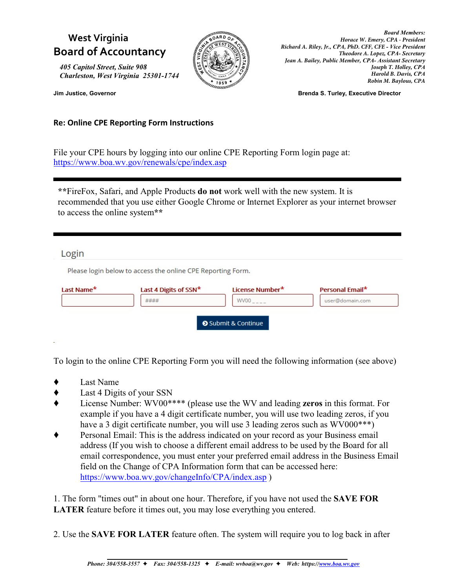## **West Virginia Board of Accountancy**

*405 Capitol Street, Suite 908 Charleston, West Virginia 25301-1744*



*Board Members: Horace W. Emery, CPA - President Richard A. Riley, Jr., CPA, PhD. CFF, CFE - Vice President Theodore A. Lopez, CPA- Secretary Jean A. Bailey, Public Member, CPA- Assistant Secretary Joseph T. Holley, CPA Harold B. Davis, CPA Robin M. Baylous, CPA*

**Jim Justice, Governor Brenda S. Turley, Executive Director**

**Re: Online CPE Reporting Form Instructions**

File your CPE hours by logging into our online CPE Reporting Form login page at: <https://www.boa.wv.gov/renewals/cpe/index.asp>

**\*\***FireFox, Safari, and Apple Products **do not** work well with the new system. It is recommended that you use either Google Chrome or Internet Explorer as your internet browser to access the online system**\*\***

## Login

Please login below to access the online CPE Reporting Form.

| Last Name* | Last 4 Digits of SSN* | License Number* | Personal Email* |
|------------|-----------------------|-----------------|-----------------|
|            | ####                  | WV00            | user@domain.com |

To login to the online CPE Reporting Form you will need the following information (see above)

- Last Name
- Last 4 Digits of your SSN
- License Number: WV00\*\*\*\* (please use the WV and leading **zeros** in this format. For example if you have a 4 digit certificate number, you will use two leading zeros, if you have a 3 digit certificate number, you will use 3 leading zeros such as WV000<sup>\*\*\*</sup>)
- Personal Email: This is the address indicated on your record as your Business email address (If you wish to choose a different email address to be used by the Board for all email correspondence, you must enter your preferred email address in the Business Email field on the Change of CPA Information form that can be accessed here: <https://www.boa.wv.gov/changeInfo/CPA/index.asp> )

1. The form "times out" in about one hour. Therefore, if you have not used the **SAVE FOR LATER** feature before it times out, you may lose everything you entered.

2. Use the **SAVE FOR LATER** feature often. The system will require you to log back in after